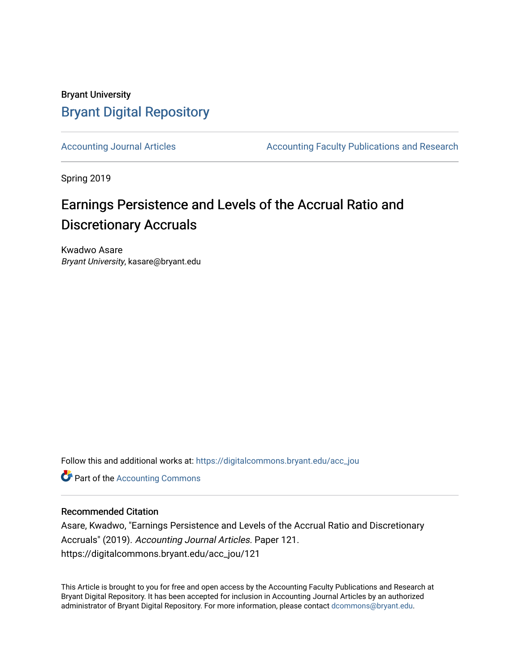## Bryant University [Bryant Digital Repository](https://digitalcommons.bryant.edu/)

[Accounting Journal Articles](https://digitalcommons.bryant.edu/acc_jou) **Accounting Faculty Publications and Research** Accounting Faculty Publications and Research

Spring 2019

# Earnings Persistence and Levels of the Accrual Ratio and Discretionary Accruals

Kwadwo Asare Bryant University, kasare@bryant.edu

Follow this and additional works at: [https://digitalcommons.bryant.edu/acc\\_jou](https://digitalcommons.bryant.edu/acc_jou?utm_source=digitalcommons.bryant.edu%2Facc_jou%2F121&utm_medium=PDF&utm_campaign=PDFCoverPages)

**Part of the [Accounting Commons](http://network.bepress.com/hgg/discipline/625?utm_source=digitalcommons.bryant.edu%2Facc_jou%2F121&utm_medium=PDF&utm_campaign=PDFCoverPages)** 

## Recommended Citation

Asare, Kwadwo, "Earnings Persistence and Levels of the Accrual Ratio and Discretionary Accruals" (2019). Accounting Journal Articles. Paper 121. https://digitalcommons.bryant.edu/acc\_jou/121

This Article is brought to you for free and open access by the Accounting Faculty Publications and Research at Bryant Digital Repository. It has been accepted for inclusion in Accounting Journal Articles by an authorized administrator of Bryant Digital Repository. For more information, please contact [dcommons@bryant.edu](mailto:dcommons@bryant.edu).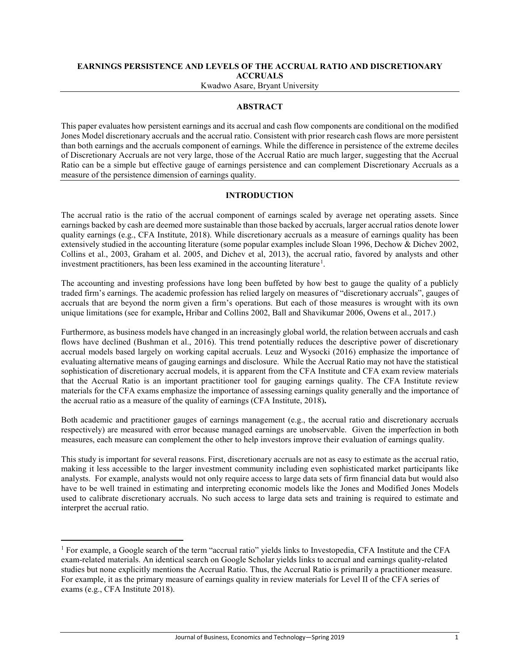## **EARNINGS PERSISTENCE AND LEVELS OF THE ACCRUAL RATIO AND DISCRETIONARY ACCRUALS**

Kwadwo Asare, Bryant University

## **ABSTRACT**

This paper evaluates how persistent earnings and its accrual and cash flow components are conditional on the modified Jones Model discretionary accruals and the accrual ratio. Consistent with prior research cash flows are more persistent than both earnings and the accruals component of earnings. While the difference in persistence of the extreme deciles of Discretionary Accruals are not very large, those of the Accrual Ratio are much larger, suggesting that the Accrual Ratio can be a simple but effective gauge of earnings persistence and can complement Discretionary Accruals as a measure of the persistence dimension of earnings quality.

## **INTRODUCTION**

The accrual ratio is the ratio of the accrual component of earnings scaled by average net operating assets. Since earnings backed by cash are deemed more sustainable than those backed by accruals, larger accrual ratios denote lower quality earnings (e.g., CFA Institute, 2018). While discretionary accruals as a measure of earnings quality has been extensively studied in the accounting literature (some popular examples include Sloan 1996, Dechow & Dichev 2002, Collins et al., 2003, Graham et al. 2005, and Dichev et al, 2013), the accrual ratio, favored by analysts and other investment practitioners, has been less examined in the accounting literature<sup>1</sup>.

The accounting and investing professions have long been buffeted by how best to gauge the quality of a publicly traded firm's earnings. The academic profession has relied largely on measures of "discretionary accruals", gauges of accruals that are beyond the norm given a firm's operations. But each of those measures is wrought with its own unique limitations (see for example**,** Hribar and Collins 2002, Ball and Shavikumar 2006, Owens et al., 2017.)

Furthermore, as business models have changed in an increasingly global world, the relation between accruals and cash flows have declined (Bushman et al., 2016). This trend potentially reduces the descriptive power of discretionary accrual models based largely on working capital accruals. Leuz and Wysocki (2016) emphasize the importance of evaluating alternative means of gauging earnings and disclosure. While the Accrual Ratio may not have the statistical sophistication of discretionary accrual models, it is apparent from the CFA Institute and CFA exam review materials that the Accrual Ratio is an important practitioner tool for gauging earnings quality. The CFA Institute review materials for the CFA exams emphasize the importance of assessing earnings quality generally and the importance of the accrual ratio as a measure of the quality of earnings (CFA Institute, 2018)**.**

Both academic and practitioner gauges of earnings management (e.g., the accrual ratio and discretionary accruals respectively) are measured with error because managed earnings are unobservable. Given the imperfection in both measures, each measure can complement the other to help investors improve their evaluation of earnings quality.

This study is important for several reasons. First, discretionary accruals are not as easy to estimate as the accrual ratio, making it less accessible to the larger investment community including even sophisticated market participants like analysts. For example, analysts would not only require access to large data sets of firm financial data but would also have to be well trained in estimating and interpreting economic models like the Jones and Modified Jones Models used to calibrate discretionary accruals. No such access to large data sets and training is required to estimate and interpret the accrual ratio.

 $\overline{\phantom{a}}$ 

<sup>1</sup> For example, a Google search of the term "accrual ratio" yields links to Investopedia, CFA Institute and the CFA exam-related materials. An identical search on Google Scholar yields links to accrual and earnings quality-related studies but none explicitly mentions the Accrual Ratio. Thus, the Accrual Ratio is primarily a practitioner measure. For example, it as the primary measure of earnings quality in review materials for Level II of the CFA series of exams (e.g., CFA Institute 2018).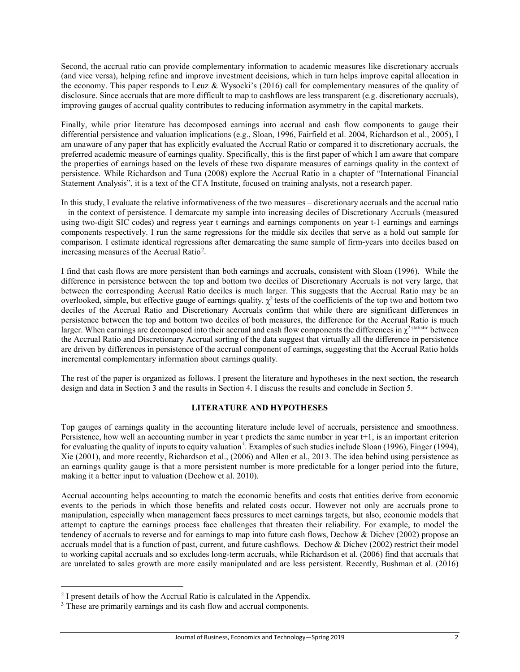Second, the accrual ratio can provide complementary information to academic measures like discretionary accruals (and vice versa), helping refine and improve investment decisions, which in turn helps improve capital allocation in the economy. This paper responds to Leuz & Wysocki's (2016) call for complementary measures of the quality of disclosure. Since accruals that are more difficult to map to cashflows are less transparent (e.g. discretionary accruals), improving gauges of accrual quality contributes to reducing information asymmetry in the capital markets.

Finally, while prior literature has decomposed earnings into accrual and cash flow components to gauge their differential persistence and valuation implications (e.g., Sloan, 1996, Fairfield et al. 2004, Richardson et al., 2005), I am unaware of any paper that has explicitly evaluated the Accrual Ratio or compared it to discretionary accruals, the preferred academic measure of earnings quality. Specifically, this is the first paper of which I am aware that compare the properties of earnings based on the levels of these two disparate measures of earnings quality in the context of persistence. While Richardson and Tuna (2008) explore the Accrual Ratio in a chapter of "International Financial Statement Analysis", it is a text of the CFA Institute, focused on training analysts, not a research paper.

In this study, I evaluate the relative informativeness of the two measures – discretionary accruals and the accrual ratio – in the context of persistence. I demarcate my sample into increasing deciles of Discretionary Accruals (measured using two-digit SIC codes) and regress year t earnings and earnings components on year t-1 earnings and earnings components respectively. I run the same regressions for the middle six deciles that serve as a hold out sample for comparison. I estimate identical regressions after demarcating the same sample of firm-years into deciles based on increasing measures of the Accrual Ratio<sup>2</sup>.

I find that cash flows are more persistent than both earnings and accruals, consistent with Sloan (1996). While the difference in persistence between the top and bottom two deciles of Discretionary Accruals is not very large, that between the corresponding Accrual Ratio deciles is much larger. This suggests that the Accrual Ratio may be an overlooked, simple, but effective gauge of earnings quality.  $\chi^2$  tests of the coefficients of the top two and bottom two deciles of the Accrual Ratio and Discretionary Accruals confirm that while there are significant differences in persistence between the top and bottom two deciles of both measures, the difference for the Accrual Ratio is much larger. When earnings are decomposed into their accrual and cash flow components the differences in  $\gamma^2$  statistic between the Accrual Ratio and Discretionary Accrual sorting of the data suggest that virtually all the difference in persistence are driven by differences in persistence of the accrual component of earnings, suggesting that the Accrual Ratio holds incremental complementary information about earnings quality.

The rest of the paper is organized as follows. I present the literature and hypotheses in the next section, the research design and data in Section 3 and the results in Section 4. I discuss the results and conclude in Section 5.

#### **LITERATURE AND HYPOTHESES**

Top gauges of earnings quality in the accounting literature include level of accruals, persistence and smoothness. Persistence, how well an accounting number in year t predicts the same number in year t+1, is an important criterion for evaluating the quality of inputs to equity valuation<sup>3</sup>. Examples of such studies include Sloan (1996), Finger (1994), Xie (2001), and more recently, Richardson et al., (2006) and Allen et al., 2013. The idea behind using persistence as an earnings quality gauge is that a more persistent number is more predictable for a longer period into the future, making it a better input to valuation (Dechow et al. 2010).

Accrual accounting helps accounting to match the economic benefits and costs that entities derive from economic events to the periods in which those benefits and related costs occur. However not only are accruals prone to manipulation, especially when management faces pressures to meet earnings targets, but also, economic models that attempt to capture the earnings process face challenges that threaten their reliability. For example, to model the tendency of accruals to reverse and for earnings to map into future cash flows, Dechow & Dichev (2002) propose an accruals model that is a function of past, current, and future cashflows. Dechow & Dichev (2002) restrict their model to working capital accruals and so excludes long-term accruals, while Richardson et al. (2006) find that accruals that are unrelated to sales growth are more easily manipulated and are less persistent. Recently, Bushman et al. (2016)

l

 $2<sup>2</sup>$  I present details of how the Accrual Ratio is calculated in the Appendix.

<sup>&</sup>lt;sup>3</sup> These are primarily earnings and its cash flow and accrual components.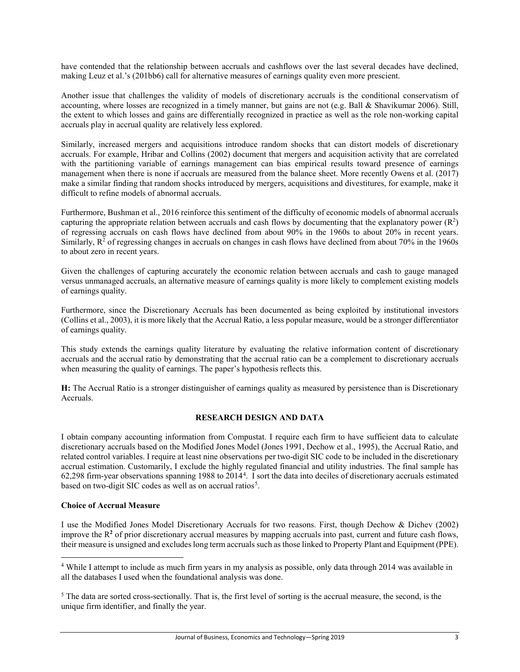have contended that the relationship between accruals and cashflows over the last several decades have declined, making Leuz et al.'s (201bb6) call for alternative measures of earnings quality even more prescient.

Another issue that challenges the validity of models of discretionary accruals is the conditional conservatism of accounting, where losses are recognized in a timely manner, but gains are not (e.g. Ball & Shavikumar 2006). Still, the extent to which losses and gains are differentially recognized in practice as well as the role non-working capital accruals play in accrual quality are relatively less explored.

Similarly, increased mergers and acquisitions introduce random shocks that can distort models of discretionary accruals. For example, Hribar and Collins (2002) document that mergers and acquisition activity that are correlated with the partitioning variable of earnings management can bias empirical results toward presence of earnings management when there is none if accruals are measured from the balance sheet. More recently Owens et al. (2017) make a similar finding that random shocks introduced by mergers, acquisitions and divestitures, for example, make it difficult to refine models of abnormal accruals.

Furthermore, Bushman et al., 2016 reinforce this sentiment of the difficulty of economic models of abnormal accruals capturing the appropriate relation between accruals and cash flows by documenting that the explanatory power  $(R^2)$ of regressing accruals on cash flows have declined from about 90% in the 1960s to about 20% in recent years. Similarly,  $R^2$  of regressing changes in accruals on changes in cash flows have declined from about 70% in the 1960s to about zero in recent years.

Given the challenges of capturing accurately the economic relation between accruals and cash to gauge managed versus unmanaged accruals, an alternative measure of earnings quality is more likely to complement existing models of earnings quality.

Furthermore, since the Discretionary Accruals has been documented as being exploited by institutional investors (Collins et al., 2003), it is more likely that the Accrual Ratio, a less popular measure, would be a stronger differentiator of earnings quality.

This study extends the earnings quality literature by evaluating the relative information content of discretionary accruals and the accrual ratio by demonstrating that the accrual ratio can be a complement to discretionary accruals when measuring the quality of earnings. The paper's hypothesis reflects this.

**H:** The Accrual Ratio is a stronger distinguisher of earnings quality as measured by persistence than is Discretionary Accruals.

## **RESEARCH DESIGN AND DATA**

I obtain company accounting information from Compustat. I require each firm to have sufficient data to calculate discretionary accruals based on the Modified Jones Model (Jones 1991, Dechow et al., 1995), the Accrual Ratio, and related control variables. I require at least nine observations per two-digit SIC code to be included in the discretionary accrual estimation. Customarily, I exclude the highly regulated financial and utility industries. The final sample has 62,298 firm-year observations spanning 1988 to 20144 . I sort the data into deciles of discretionary accruals estimated based on two-digit SIC codes as well as on accrual ratios<sup>5</sup>.

#### **Choice of Accrual Measure**

 $\overline{\phantom{a}}$ 

I use the Modified Jones Model Discretionary Accruals for two reasons. First, though Dechow & Dichev (2002) improve the  $R^2$  of prior discretionary accrual measures by mapping accruals into past, current and future cash flows, their measure is unsigned and excludes long term accruals such as those linked to Property Plant and Equipment (PPE).

<sup>4</sup> While I attempt to include as much firm years in my analysis as possible, only data through 2014 was available in all the databases I used when the foundational analysis was done.

<sup>&</sup>lt;sup>5</sup> The data are sorted cross-sectionally. That is, the first level of sorting is the accrual measure, the second, is the unique firm identifier, and finally the year.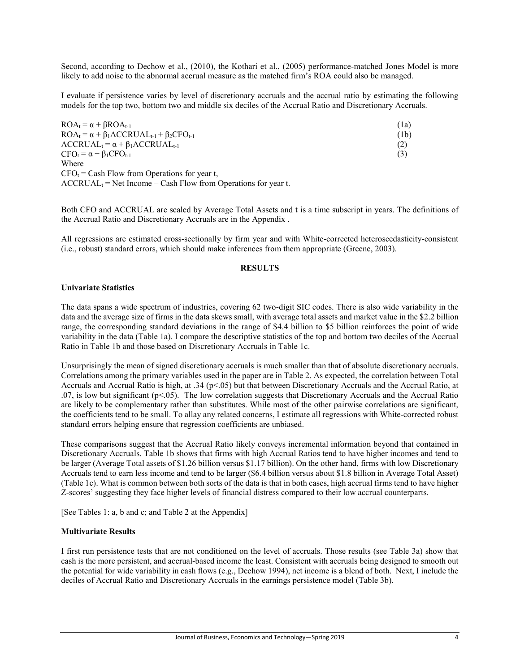Second, according to Dechow et al., (2010), the Kothari et al., (2005) performance-matched Jones Model is more likely to add noise to the abnormal accrual measure as the matched firm's ROA could also be managed.

I evaluate if persistence varies by level of discretionary accruals and the accrual ratio by estimating the following models for the top two, bottom two and middle six deciles of the Accrual Ratio and Discretionary Accruals.

| $ROA_t = \alpha + \beta ROA_{t-1}$                           | (1a) |
|--------------------------------------------------------------|------|
| $ROA_t = \alpha + \beta_1 ACCRUAL_{t-1} + \beta_2 CFO_{t-1}$ | (1b) |
| $\text{ACCRUAL}_t = \alpha + \beta_1 \text{ACCRUAL}_{t-1}$   | (2)  |
| $CFO_t = \alpha + \beta_1 CFO_{t-1}$                         | (3)  |
| Where                                                        |      |
| $CFO_t = Cash Flow$ from Operations for year t,              |      |

 $\text{ACCRUAL}_t = \text{Net Income} - \text{Cash Flow from Operations for year t.}$ 

Both CFO and ACCRUAL are scaled by Average Total Assets and t is a time subscript in years. The definitions of the Accrual Ratio and Discretionary Accruals are in the Appendix .

All regressions are estimated cross-sectionally by firm year and with White-corrected heteroscedasticity-consistent (i.e., robust) standard errors, which should make inferences from them appropriate (Greene, 2003).

#### **RESULTS**

#### **Univariate Statistics**

The data spans a wide spectrum of industries, covering 62 two-digit SIC codes. There is also wide variability in the data and the average size of firms in the data skews small, with average total assets and market value in the \$2.2 billion range, the corresponding standard deviations in the range of \$4.4 billion to \$5 billion reinforces the point of wide variability in the data (Table 1a). I compare the descriptive statistics of the top and bottom two deciles of the Accrual Ratio in Table 1b and those based on Discretionary Accruals in Table 1c.

Unsurprisingly the mean of signed discretionary accruals is much smaller than that of absolute discretionary accruals. Correlations among the primary variables used in the paper are in Table 2. As expected, the correlation between Total Accruals and Accrual Ratio is high, at .34 (p<.05) but that between Discretionary Accruals and the Accrual Ratio, at .07, is low but significant (p<.05). The low correlation suggests that Discretionary Accruals and the Accrual Ratio are likely to be complementary rather than substitutes. While most of the other pairwise correlations are significant, the coefficients tend to be small. To allay any related concerns, I estimate all regressions with White-corrected robust standard errors helping ensure that regression coefficients are unbiased.

These comparisons suggest that the Accrual Ratio likely conveys incremental information beyond that contained in Discretionary Accruals. Table 1b shows that firms with high Accrual Ratios tend to have higher incomes and tend to be larger (Average Total assets of \$1.26 billion versus \$1.17 billion). On the other hand, firms with low Discretionary Accruals tend to earn less income and tend to be larger (\$6.4 billion versus about \$1.8 billion in Average Total Asset) (Table 1c). What is common between both sorts of the data is that in both cases, high accrual firms tend to have higher Z-scores' suggesting they face higher levels of financial distress compared to their low accrual counterparts.

[See Tables 1: a, b and c; and Table 2 at the Appendix]

#### **Multivariate Results**

I first run persistence tests that are not conditioned on the level of accruals. Those results (see Table 3a) show that cash is the more persistent, and accrual-based income the least. Consistent with accruals being designed to smooth out the potential for wide variability in cash flows (e.g., Dechow 1994), net income is a blend of both. Next, I include the deciles of Accrual Ratio and Discretionary Accruals in the earnings persistence model (Table 3b).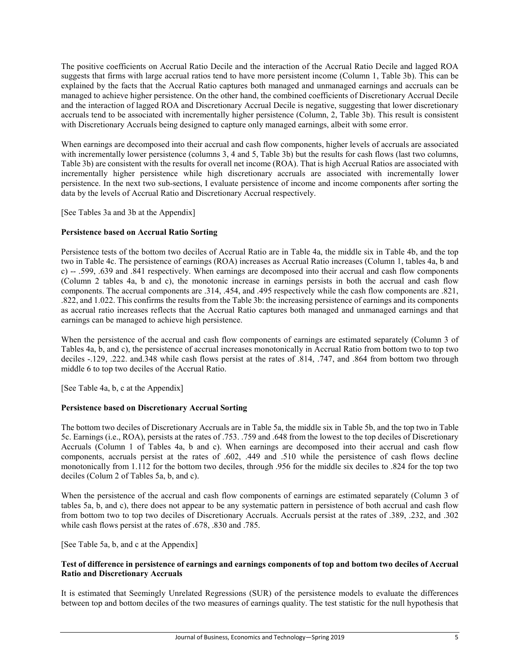The positive coefficients on Accrual Ratio Decile and the interaction of the Accrual Ratio Decile and lagged ROA suggests that firms with large accrual ratios tend to have more persistent income (Column 1, Table 3b). This can be explained by the facts that the Accrual Ratio captures both managed and unmanaged earnings and accruals can be managed to achieve higher persistence. On the other hand, the combined coefficients of Discretionary Accrual Decile and the interaction of lagged ROA and Discretionary Accrual Decile is negative, suggesting that lower discretionary accruals tend to be associated with incrementally higher persistence (Column, 2, Table 3b). This result is consistent with Discretionary Accruals being designed to capture only managed earnings, albeit with some error.

When earnings are decomposed into their accrual and cash flow components, higher levels of accruals are associated with incrementally lower persistence (columns 3, 4 and 5, Table 3b) but the results for cash flows (last two columns, Table 3b) are consistent with the results for overall net income (ROA). That is high Accrual Ratios are associated with incrementally higher persistence while high discretionary accruals are associated with incrementally lower persistence. In the next two sub-sections, I evaluate persistence of income and income components after sorting the data by the levels of Accrual Ratio and Discretionary Accrual respectively.

[See Tables 3a and 3b at the Appendix]

## **Persistence based on Accrual Ratio Sorting**

Persistence tests of the bottom two deciles of Accrual Ratio are in Table 4a, the middle six in Table 4b, and the top two in Table 4c. The persistence of earnings (ROA) increases as Accrual Ratio increases (Column 1, tables 4a, b and c) -- .599, .639 and .841 respectively. When earnings are decomposed into their accrual and cash flow components (Column 2 tables 4a, b and c), the monotonic increase in earnings persists in both the accrual and cash flow components. The accrual components are .314, .454, and .495 respectively while the cash flow components are .821, .822, and 1.022. This confirms the results from the Table 3b: the increasing persistence of earnings and its components as accrual ratio increases reflects that the Accrual Ratio captures both managed and unmanaged earnings and that earnings can be managed to achieve high persistence.

When the persistence of the accrual and cash flow components of earnings are estimated separately (Column 3 of Tables 4a, b, and c), the persistence of accrual increases monotonically in Accrual Ratio from bottom two to top two deciles -.129, .222. and.348 while cash flows persist at the rates of .814, .747, and .864 from bottom two through middle 6 to top two deciles of the Accrual Ratio.

[See Table 4a, b, c at the Appendix]

## **Persistence based on Discretionary Accrual Sorting**

The bottom two deciles of Discretionary Accruals are in Table 5a, the middle six in Table 5b, and the top two in Table 5c. Earnings (i.e., ROA), persists at the rates of .753. .759 and .648 from the lowest to the top deciles of Discretionary Accruals (Column 1 of Tables 4a, b and c). When earnings are decomposed into their accrual and cash flow components, accruals persist at the rates of .602, .449 and .510 while the persistence of cash flows decline monotonically from 1.112 for the bottom two deciles, through .956 for the middle six deciles to .824 for the top two deciles (Colum 2 of Tables 5a, b, and c).

When the persistence of the accrual and cash flow components of earnings are estimated separately (Column 3 of tables 5a, b, and c), there does not appear to be any systematic pattern in persistence of both accrual and cash flow from bottom two to top two deciles of Discretionary Accruals. Accruals persist at the rates of .389, .232, and .302 while cash flows persist at the rates of .678, .830 and .785.

[See Table 5a, b, and c at the Appendix]

#### **Test of difference in persistence of earnings and earnings components of top and bottom two deciles of Accrual Ratio and Discretionary Accruals**

It is estimated that Seemingly Unrelated Regressions (SUR) of the persistence models to evaluate the differences between top and bottom deciles of the two measures of earnings quality. The test statistic for the null hypothesis that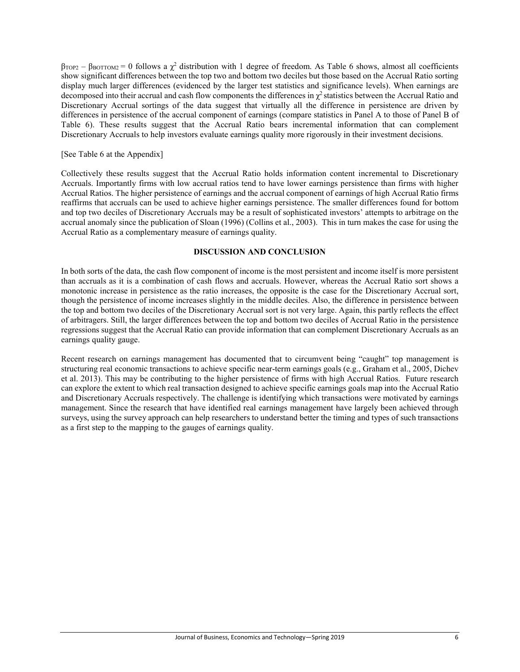$\beta_{\text{TOP2}} - \beta_{\text{BOTOM2}} = 0$  follows a  $\chi^2$  distribution with 1 degree of freedom. As Table 6 shows, almost all coefficients show significant differences between the top two and bottom two deciles but those based on the Accrual Ratio sorting display much larger differences (evidenced by the larger test statistics and significance levels). When earnings are decomposed into their accrual and cash flow components the differences in  $\chi^2$  statistics between the Accrual Ratio and Discretionary Accrual sortings of the data suggest that virtually all the difference in persistence are driven by differences in persistence of the accrual component of earnings (compare statistics in Panel A to those of Panel B of Table 6). These results suggest that the Accrual Ratio bears incremental information that can complement Discretionary Accruals to help investors evaluate earnings quality more rigorously in their investment decisions.

#### [See Table 6 at the Appendix]

Collectively these results suggest that the Accrual Ratio holds information content incremental to Discretionary Accruals. Importantly firms with low accrual ratios tend to have lower earnings persistence than firms with higher Accrual Ratios. The higher persistence of earnings and the accrual component of earnings of high Accrual Ratio firms reaffirms that accruals can be used to achieve higher earnings persistence. The smaller differences found for bottom and top two deciles of Discretionary Accruals may be a result of sophisticated investors' attempts to arbitrage on the accrual anomaly since the publication of Sloan (1996) (Collins et al., 2003). This in turn makes the case for using the Accrual Ratio as a complementary measure of earnings quality.

## **DISCUSSION AND CONCLUSION**

In both sorts of the data, the cash flow component of income is the most persistent and income itself is more persistent than accruals as it is a combination of cash flows and accruals. However, whereas the Accrual Ratio sort shows a monotonic increase in persistence as the ratio increases, the opposite is the case for the Discretionary Accrual sort, though the persistence of income increases slightly in the middle deciles. Also, the difference in persistence between the top and bottom two deciles of the Discretionary Accrual sort is not very large. Again, this partly reflects the effect of arbitragers. Still, the larger differences between the top and bottom two deciles of Accrual Ratio in the persistence regressions suggest that the Accrual Ratio can provide information that can complement Discretionary Accruals as an earnings quality gauge.

Recent research on earnings management has documented that to circumvent being "caught" top management is structuring real economic transactions to achieve specific near-term earnings goals (e.g., Graham et al., 2005, Dichev et al. 2013). This may be contributing to the higher persistence of firms with high Accrual Ratios. Future research can explore the extent to which real transaction designed to achieve specific earnings goals map into the Accrual Ratio and Discretionary Accruals respectively. The challenge is identifying which transactions were motivated by earnings management. Since the research that have identified real earnings management have largely been achieved through surveys, using the survey approach can help researchers to understand better the timing and types of such transactions as a first step to the mapping to the gauges of earnings quality.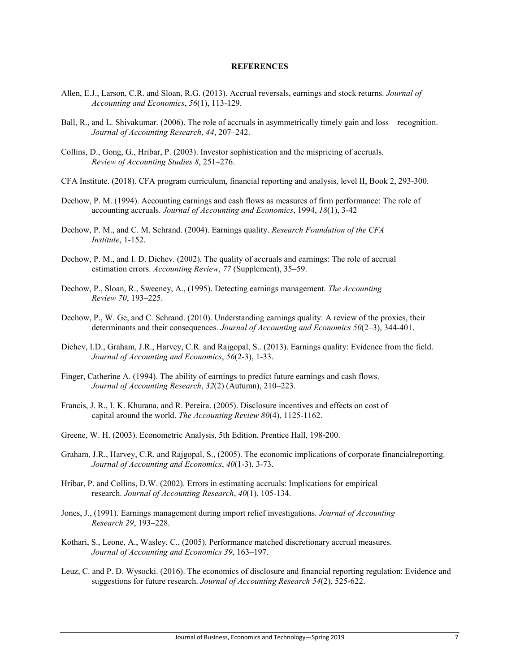#### **REFERENCES**

- Allen, E.J., Larson, C.R. and Sloan, R.G. (2013). Accrual reversals, earnings and stock returns. *Journal of Accounting and Economics*, *56*(1), 113-129.
- Ball, R., and L. Shivakumar. (2006). The role of accruals in asymmetrically timely gain and loss recognition. *Journal of Accounting Research*, *44*, 207–242.
- Collins, D., Gong, G., Hribar, P. (2003). Investor sophistication and the mispricing of accruals. *Review of Accounting Studies 8*, 251–276.
- CFA Institute. (2018). CFA program curriculum, financial reporting and analysis, level II, Book 2, 293-300.
- Dechow, P. M. (1994). Accounting earnings and cash flows as measures of firm performance: The role of accounting accruals. *Journal of Accounting and Economics*, 1994, *18*(1), 3-42
- Dechow, P. M., and C. M. Schrand. (2004). Earnings quality. *Research Foundation of the CFA Institute*, 1-152.
- Dechow, P. M., and I. D. Dichev. (2002). The quality of accruals and earnings: The role of accrual estimation errors. *Accounting Review*, *77* (Supplement), 35–59.
- Dechow, P., Sloan, R., Sweeney, A., (1995). Detecting earnings management. *The Accounting Review 70*, 193–225.
- Dechow, P., W. Ge, and C. Schrand. (2010). Understanding earnings quality: A review of the proxies, their determinants and their consequences. *Journal of Accounting and Economics 50*(2–3), 344-401.
- Dichev, I.D., Graham, J.R., Harvey, C.R. and Rajgopal, S.. (2013). Earnings quality: Evidence from the field. *Journal of Accounting and Economics*, *56*(2-3), 1-33.
- Finger, Catherine A. (1994). The ability of earnings to predict future earnings and cash flows. *Journal of Accounting Research*, *32*(2) (Autumn), 210–223.
- Francis, J. R., I. K. Khurana, and R. Pereira. (2005). Disclosure incentives and effects on cost of capital around the world. *The Accounting Review 80*(4), 1125-1162.
- Greene, W. H. (2003). Econometric Analysis, 5th Edition. Prentice Hall, 198-200.
- Graham, J.R., Harvey, C.R. and Rajgopal, S., (2005). The economic implications of corporate financialreporting. *Journal of Accounting and Economics*, *40*(1-3), 3-73.
- Hribar, P. and Collins, D.W. (2002). Errors in estimating accruals: Implications for empirical research. *Journal of Accounting Research*, *40*(1), 105-134.
- Jones, J., (1991). Earnings management during import relief investigations. *Journal of Accounting Research 29*, 193–228.
- Kothari, S., Leone, A., Wasley, C., (2005). Performance matched discretionary accrual measures. *Journal of Accounting and Economics 39*, 163–197.
- Leuz, C. and P. D. Wysocki. (2016). The economics of disclosure and financial reporting regulation: Evidence and suggestions for future research. *Journal of Accounting Research 54*(2), 525-622.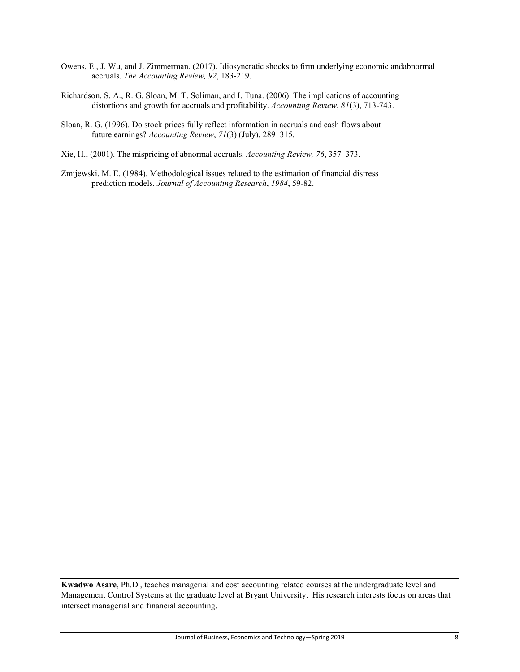- Owens, E., J. Wu, and J. Zimmerman. (2017). Idiosyncratic shocks to firm underlying economic andabnormal accruals. *The Accounting Review, 92*, 183-219.
- Richardson, S. A., R. G. Sloan, M. T. Soliman, and I. Tuna. (2006). The implications of accounting distortions and growth for accruals and profitability. *Accounting Review*, *81*(3), 713-743.
- Sloan, R. G. (1996). Do stock prices fully reflect information in accruals and cash flows about future earnings? *Accounting Review*, *71*(3) (July), 289–315.
- Xie, H., (2001). The mispricing of abnormal accruals. *Accounting Review, 76*, 357–373.
- Zmijewski, M. E. (1984). Methodological issues related to the estimation of financial distress prediction models. *Journal of Accounting Research*, *1984*, 59-82.

**Kwadwo Asare**, Ph.D., teaches managerial and cost accounting related courses at the undergraduate level and Management Control Systems at the graduate level at Bryant University. His research interests focus on areas that intersect managerial and financial accounting.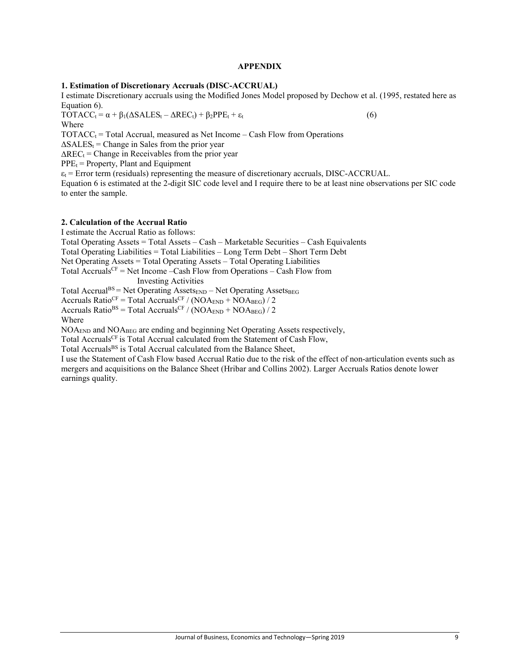#### **APPENDIX**

#### **1. Estimation of Discretionary Accruals (DISC-ACCRUAL)**

I estimate Discretionary accruals using the Modified Jones Model proposed by Dechow et al. (1995, restated here as Equation 6).

 $\text{TOTACC}_{t} = \alpha + \beta_1(\Delta\text{SALES}_{t} - \Delta\text{REC}_{t}) + \beta_2 \text{PPE}_{t} + \varepsilon_t$  (6) Where

 $\text{TOTACC}_t = \text{Total Accrual}, \text{measured as Net Income} - \text{Cash Flow from Operations}$ 

 $\Delta SALES_t$  = Change in Sales from the prior year

 $\Delta$ REC<sub>t</sub> = Change in Receivables from the prior year

 $PPE_t = Property$ , Plant and Equipment

 $\varepsilon_t$  = Error term (residuals) representing the measure of discretionary accruals, DISC-ACCRUAL.

Equation 6 is estimated at the 2-digit SIC code level and I require there to be at least nine observations per SIC code to enter the sample.

#### **2. Calculation of the Accrual Ratio**

I estimate the Accrual Ratio as follows:

Total Operating Assets = Total Assets – Cash – Marketable Securities – Cash Equivalents

Total Operating Liabilities = Total Liabilities – Long Term Debt – Short Term Debt

Net Operating Assets = Total Operating Assets – Total Operating Liabilities

Total Accruals<sup>CF</sup> = Net Income –Cash Flow from Operations – Cash Flow from Investing Activities

Total Accrual<sup>BS</sup> = Net Operating Assets<sub>END</sub> – Net Operating Assets<sub>BEG</sub> Accruals Ratio<sup>CF</sup> = Total Accruals<sup>CF</sup> / (NOA<sub>END</sub> + NOA<sub>BEG</sub>) / 2

Accruals Ratio<sup>BS</sup> = Total Accruals<sup>CF</sup> / (NOA<sub>END</sub> + NOA<sub>BEG</sub>) / 2 Where

NOAEND and NOABEG are ending and beginning Net Operating Assets respectively,

Total Accruals<sup>CF</sup> is Total Accrual calculated from the Statement of Cash Flow,

Total Accruals<sup>BS</sup> is Total Accrual calculated from the Balance Sheet,

I use the Statement of Cash Flow based Accrual Ratio due to the risk of the effect of non-articulation events such as mergers and acquisitions on the Balance Sheet (Hribar and Collins 2002). Larger Accruals Ratios denote lower earnings quality.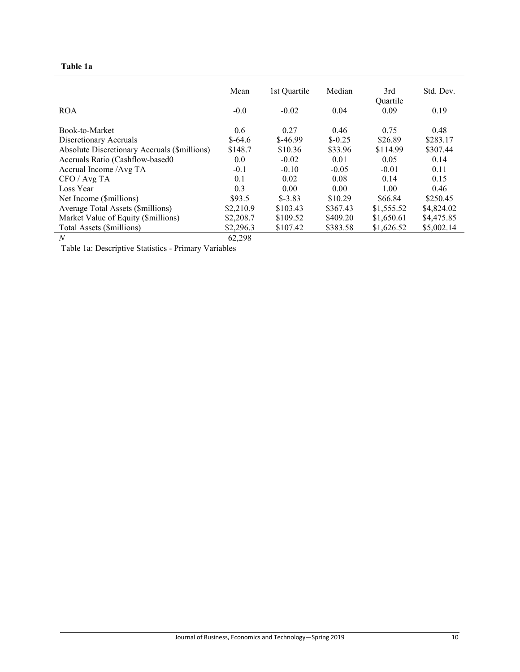## **Table 1a**

|                                              | Mean      | 1st Quartile | Median    | 3rd<br>Ouartile | Std. Dev.  |
|----------------------------------------------|-----------|--------------|-----------|-----------------|------------|
| <b>ROA</b>                                   | $-0.0$    | $-0.02$      | 0.04      | 0.09            | 0.19       |
| Book-to-Market                               | 0.6       | 0.27         | 0.46      | 0.75            | 0.48       |
| Discretionary Accruals                       | $$-64.6$  | $$-46.99$    | $$ -0.25$ | \$26.89         | \$283.17   |
| Absolute Discretionary Accruals (\$millions) | \$148.7   | \$10.36      | \$33.96   | \$114.99        | \$307.44   |
| Accruals Ratio (Cashflow-based0              | 0.0       | $-0.02$      | 0.01      | 0.05            | 0.14       |
| Accrual Income / Avg TA                      | $-0.1$    | $-0.10$      | $-0.05$   | $-0.01$         | 0.11       |
| CFO / Avg TA                                 | 0.1       | 0.02         | 0.08      | 0.14            | 0.15       |
| Loss Year                                    | 0.3       | 0.00         | 0.00      | 1.00            | 0.46       |
| Net Income (\$millions)                      | \$93.5    | $$-3.83$     | \$10.29   | \$66.84         | \$250.45   |
| Average Total Assets (\$millions)            | \$2,210.9 | \$103.43     | \$367.43  | \$1,555.52      | \$4,824.02 |
| Market Value of Equity (\$millions)          | \$2,208.7 | \$109.52     | \$409.20  | \$1,650.61      | \$4,475.85 |
| Total Assets (\$millions)                    | \$2,296.3 | \$107.42     | \$383.58  | \$1,626.52      | \$5,002.14 |
| N                                            | 62,298    |              |           |                 |            |

Table 1a: Descriptive Statistics - Primary Variables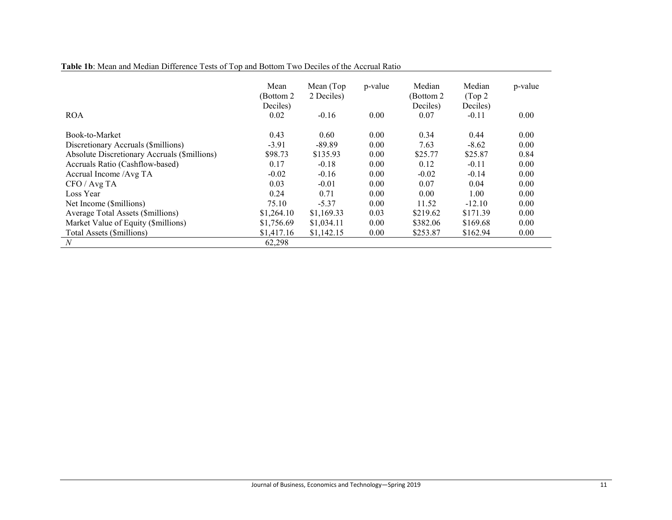|  |  |  |  |  | Table 1b: Mean and Median Difference Tests of Top and Bottom Two Deciles of the Accrual Ratio |  |  |  |
|--|--|--|--|--|-----------------------------------------------------------------------------------------------|--|--|--|
|--|--|--|--|--|-----------------------------------------------------------------------------------------------|--|--|--|

| <b>ROA</b>                                   | Mean<br>(Bottom 2)<br>Deciles)<br>0.02 | Mean (Top)<br>2 Deciles)<br>$-0.16$ | p-value<br>0.00 | Median<br>(Bottom 2<br>Deciles)<br>0.07 | Median<br>(Top <sub>2</sub> )<br>Deciles)<br>$-0.11$ | p-value<br>0.00 |
|----------------------------------------------|----------------------------------------|-------------------------------------|-----------------|-----------------------------------------|------------------------------------------------------|-----------------|
| Book-to-Market                               | 0.43                                   | 0.60                                | 0.00            | 0.34                                    | 0.44                                                 | 0.00            |
| Discretionary Accruals (\$millions)          | $-3.91$                                | $-89.89$                            | 0.00            | 7.63                                    | $-8.62$                                              | 0.00            |
| Absolute Discretionary Accruals (\$millions) | \$98.73                                | \$135.93                            | 0.00            | \$25.77                                 | \$25.87                                              | 0.84            |
| Accruals Ratio (Cashflow-based)              | 0.17                                   | $-0.18$                             | 0.00            | 0.12                                    | $-0.11$                                              | 0.00            |
| Accrual Income / Avg TA                      | $-0.02$                                | $-0.16$                             | 0.00            | $-0.02$                                 | $-0.14$                                              | 0.00            |
| CFO / Avg TA                                 | 0.03                                   | $-0.01$                             | 0.00            | 0.07                                    | 0.04                                                 | 0.00            |
| Loss Year                                    | 0.24                                   | 0.71                                | 0.00            | 0.00                                    | 1.00                                                 | 0.00            |
| Net Income (\$millions)                      | 75.10                                  | $-5.37$                             | 0.00            | 11.52                                   | $-12.10$                                             | 0.00            |
| Average Total Assets (\$millions)            | \$1,264.10                             | \$1,169.33                          | 0.03            | \$219.62                                | \$171.39                                             | 0.00            |
| Market Value of Equity (\$millions)          | \$1,756.69                             | \$1,034.11                          | 0.00            | \$382.06                                | \$169.68                                             | 0.00            |
| Total Assets (\$millions)                    | \$1,417.16                             | \$1,142.15                          | 0.00            | \$253.87                                | \$162.94                                             | 0.00            |
| $\boldsymbol{N}$                             | 62,298                                 |                                     |                 |                                         |                                                      |                 |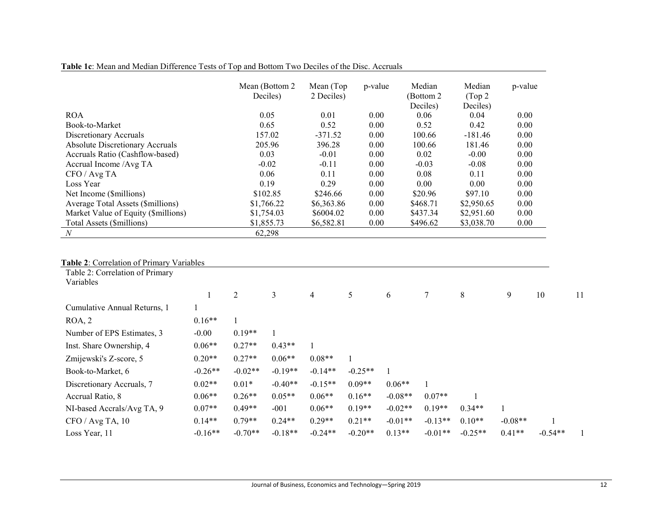|                                        | Mean (Bottom 2)<br>Deciles) | Mean (Top)<br>2 Deciles) | p-value | Median<br>(Bottom 2)<br>Deciles) | Median<br>(Top <sub>2</sub> )<br>Deciles) | p-value |
|----------------------------------------|-----------------------------|--------------------------|---------|----------------------------------|-------------------------------------------|---------|
| <b>ROA</b>                             | 0.05                        | 0.01                     | 0.00    | 0.06                             | 0.04                                      | 0.00    |
| Book-to-Market                         | 0.65                        | 0.52                     | 0.00    | 0.52                             | 0.42                                      | 0.00    |
| Discretionary Accruals                 | 157.02                      | $-371.52$                | 0.00    | 100.66                           | $-181.46$                                 | 0.00    |
| <b>Absolute Discretionary Accruals</b> | 205.96                      | 396.28                   | 0.00    | 100.66                           | 181.46                                    | 0.00    |
| Accruals Ratio (Cashflow-based)        | 0.03                        | $-0.01$                  | 0.00    | 0.02                             | $-0.00$                                   | 0.00    |
| Accrual Income /Avg TA                 | $-0.02$                     | $-0.11$                  | 0.00    | $-0.03$                          | $-0.08$                                   | 0.00    |
| CFO / Avg TA                           | 0.06                        | 0.11                     | 0.00    | 0.08                             | 0.11                                      | 0.00    |
| Loss Year                              | 0.19                        | 0.29                     | 0.00    | 0.00                             | 0.00                                      | 0.00    |
| Net Income (\$millions)                | \$102.85                    | \$246.66                 | 0.00    | \$20.96                          | \$97.10                                   | 0.00    |
| Average Total Assets (\$millions)      | \$1,766.22                  | \$6,363.86               | 0.00    | \$468.71                         | \$2,950.65                                | 0.00    |
| Market Value of Equity (\$millions)    | \$1,754.03                  | \$6004.02                | 0.00    | \$437.34                         | \$2,951.60                                | 0.00    |
| Total Assets (\$millions)              | \$1,855.73                  | \$6,582.81               | 0.00    | \$496.62                         | \$3,038.70                                | 0.00    |
| $\boldsymbol{N}$                       | 62,298                      |                          |         |                                  |                                           |         |

## **Table 2**: Correlation of Primary Variables

| Table 2: Correlation of Primary<br>Variables |           |           |           |           |           |           |           |           |           |           |    |
|----------------------------------------------|-----------|-----------|-----------|-----------|-----------|-----------|-----------|-----------|-----------|-----------|----|
|                                              |           | 2         | 3         | 4         | 5         | 6         |           | 8         | 9         | 10        | 11 |
| Cumulative Annual Returns, 1                 |           |           |           |           |           |           |           |           |           |           |    |
| ROA, 2                                       | $0.16**$  |           |           |           |           |           |           |           |           |           |    |
| Number of EPS Estimates, 3                   | $-0.00$   | $0.19**$  |           |           |           |           |           |           |           |           |    |
| Inst. Share Ownership, 4                     | $0.06**$  | $0.27**$  | $0.43**$  |           |           |           |           |           |           |           |    |
| Zmijewski's Z-score, 5                       | $0.20**$  | $0.27**$  | $0.06**$  | $0.08**$  |           |           |           |           |           |           |    |
| Book-to-Market, 6                            | $-0.26**$ | $-0.02**$ | $-0.19**$ | $-0.14**$ | $-0.25**$ |           |           |           |           |           |    |
| Discretionary Accruals, 7                    | $0.02**$  | $0.01*$   | $-0.40**$ | $-0.15**$ | $0.09**$  | $0.06**$  |           |           |           |           |    |
| Accrual Ratio, 8                             | $0.06**$  | $0.26**$  | $0.05**$  | $0.06**$  | $0.16**$  | $-0.08**$ | $0.07**$  |           |           |           |    |
| NI-based Accrals/Avg TA, 9                   | $0.07**$  | $0.49**$  | $-001$    | $0.06**$  | $0.19**$  | $-0.02**$ | $0.19**$  | $0.34**$  |           |           |    |
| CFO / Avg TA, 10                             | $0.14**$  | $0.79**$  | $0.24**$  | $0.29**$  | $0.21**$  | $-0.01**$ | $-0.13**$ | $0.10**$  | $-0.08**$ |           |    |
| Loss Year, 11                                | $-0.16**$ | $-0.70**$ | $-0.18**$ | $-0.24**$ | $-0.20**$ | $0.13**$  | $-0.01**$ | $-0.25**$ | $0.41**$  | $-0.54**$ |    |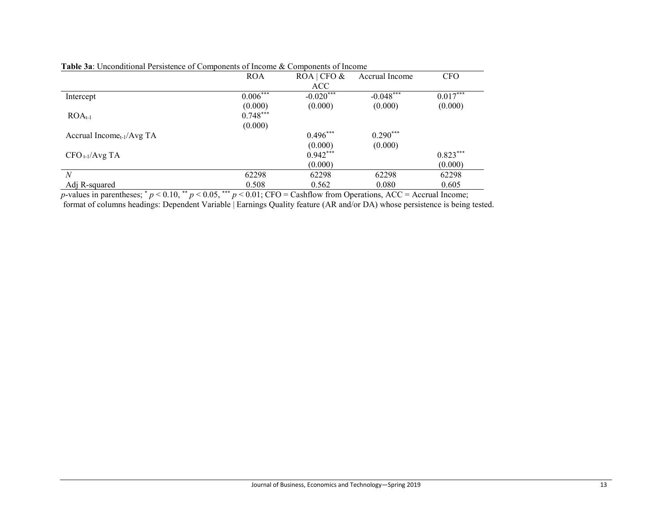|                                       | <b>ROA</b> | $ROA$ CFO & | Accrual Income | <b>CFO</b> |
|---------------------------------------|------------|-------------|----------------|------------|
|                                       |            | ACC         |                |            |
| Intercept                             | $0.006***$ | $-0.020***$ | $-0.048***$    | $0.017***$ |
|                                       | (0.000)    | (0.000)     | (0.000)        | (0.000)    |
| $ROA_{t-1}$                           | $0.748***$ |             |                |            |
|                                       | (0.000)    |             |                |            |
| Accrual Income <sub>t-1</sub> /Avg TA |            | $0.496***$  | $0.290***$     |            |
|                                       |            | (0.000)     | (0.000)        |            |
| $CFO_{t-1}/AvgTA$                     |            | $0.942***$  |                | $0.823***$ |
|                                       |            | (0.000)     |                | (0.000)    |
| $\mathcal N$                          | 62298      | 62298       | 62298          | 62298      |
| Adj R-squared                         | 0.508      | 0.562       | 0.080          | 0.605      |

## **Table 3a**: Unconditional Persistence of Components of Income & Components of Income

*p*-values in parentheses;  $p < 0.10$ ,  $p < 0.05$ ,  $p = 0.01$ ; CFO = Cashflow from Operations, ACC = Accrual Income; format of columns headings: Dependent Variable | Earnings Quality feature (AR and/or DA) whose persistence is being tested.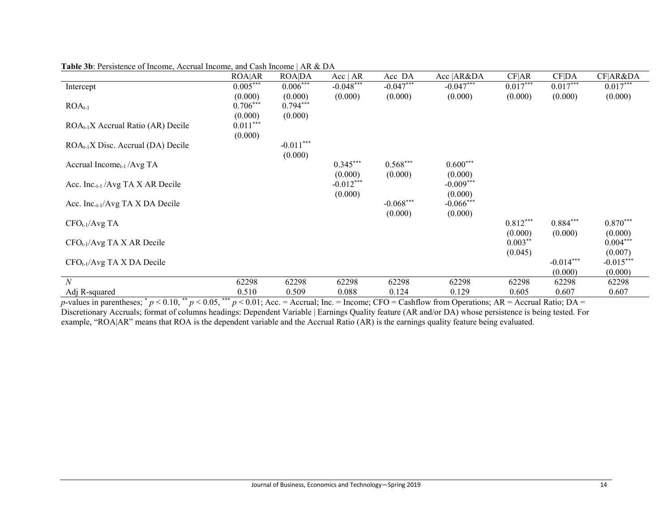|                                              | ROA AR     | <b>ROADA</b> | Acc   AR    | Acc DA      | Acc   AR&DA  | CF AR      | CF DA       | CF AR&DA    |
|----------------------------------------------|------------|--------------|-------------|-------------|--------------|------------|-------------|-------------|
| Intercept                                    | $0.005***$ | $0.006***$   | $-0.048***$ | $-0.047***$ | $-0.047***$  | $0.017***$ | $0.017***$  | $0.017***$  |
|                                              | (0.000)    | (0.000)      | (0.000)     | (0.000)     | (0.000)      | (0.000)    | (0.000)     | (0.000)     |
| $ROAt-1$                                     | $0.706***$ | $0.794***$   |             |             |              |            |             |             |
|                                              | (0.000)    | (0.000)      |             |             |              |            |             |             |
| $ROA_{t-1}X$ Accrual Ratio (AR) Decile       | $0.011***$ |              |             |             |              |            |             |             |
|                                              | (0.000)    |              |             |             |              |            |             |             |
| $ROA_{t-1}X$ Disc. Accrual (DA) Decile       |            | $-0.011***$  |             |             |              |            |             |             |
|                                              |            | (0.000)      |             |             |              |            |             |             |
| Accrual Income <sub>t-1</sub> /Avg TA        |            |              | $0.345***$  | $0.568***$  | $0.600***$   |            |             |             |
|                                              |            |              | (0.000)     | (0.000)     | (0.000)      |            |             |             |
| Acc. Inc. <sub>t-1</sub> /Avg TA X AR Decile |            |              | $-0.012***$ |             | $-0.009***$  |            |             |             |
|                                              |            |              | (0.000)     |             | (0.000)      |            |             |             |
| Acc. Inc. <sub>t-1</sub> /Avg TA X DA Decile |            |              |             | $-0.068***$ | $-0.066$ *** |            |             |             |
|                                              |            |              |             | (0.000)     | (0.000)      |            |             |             |
| $CFO_{t-1}/AvgTA$                            |            |              |             |             |              | $0.812***$ | $0.884***$  | $0.870***$  |
|                                              |            |              |             |             |              | (0.000)    | (0.000)     | (0.000)     |
| $CFO_{t-1}/Avg TA X AR Decile$               |            |              |             |             |              | $0.003***$ |             | $0.004***$  |
|                                              |            |              |             |             |              | (0.045)    |             | (0.007)     |
| $CFO_{t-1}/Avg TA X DA Decile$               |            |              |             |             |              |            | $-0.014***$ | $-0.015***$ |
|                                              |            |              |             |             |              |            | (0.000)     | (0.000)     |
| $\boldsymbol{N}$                             | 62298      | 62298        | 62298       | 62298       | 62298        | 62298      | 62298       | 62298       |
| Adj R-squared                                | 0.510      | 0.509        | 0.088       | 0.124       | 0.129        | 0.605      | 0.607       | 0.607       |

|  | <b>Table 3b</b> : Persistence of Income, Accrual Income, and Cash Income   AR & DA |  |  |  |
|--|------------------------------------------------------------------------------------|--|--|--|
|  |                                                                                    |  |  |  |

*p*-values in parentheses; \* *p* < 0.10, \*\* *p* < 0.05, \*\*\* *p* < 0.01; Acc. = Accrual; Inc. = Income; CFO = Cashflow from Operations; AR = Accrual Ratio; DA = Discretionary Accruals; format of columns headings: Dependent Variable | Earnings Quality feature (AR and/or DA) whose persistence is being tested. For example, "ROA|AR" means that ROA is the dependent variable and the Accrual Ratio (AR) is the earnings quality feature being evaluated.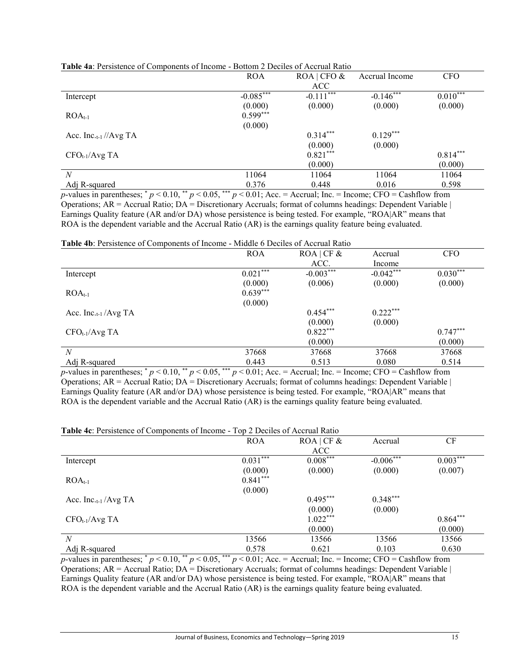|                                   | <b>ROA</b>  | $ROA$ CFO & | Accrual Income | <b>CFO</b> |
|-----------------------------------|-------------|-------------|----------------|------------|
|                                   |             | ACC.        |                |            |
| Intercept                         | $-0.085***$ | $-0.111***$ | $-0.146***$    | $0.010***$ |
|                                   | (0.000)     | (0.000)     | (0.000)        | (0.000)    |
| $ROA_{t-1}$                       | $0.599***$  |             |                |            |
|                                   | (0.000)     |             |                |            |
| Acc. Inc. <sub>t-1</sub> //Avg TA |             | $0.314***$  | $0.129***$     |            |
|                                   |             | (0.000)     | (0.000)        |            |
| $CFO_{t-1}/AvgTA$                 |             | $0.821***$  |                | $0.814***$ |
|                                   |             | (0.000)     |                | (0.000)    |
| N                                 | 11064       | 11064       | 11064          | 11064      |
| Adj R-squared                     | 0.376       | 0.448       | 0.016          | 0.598      |

|  |  |  |  | <b>Table 4a:</b> Persistence of Components of Income - Bottom 2 Deciles of Accrual Ratio |  |
|--|--|--|--|------------------------------------------------------------------------------------------|--|
|  |  |  |  |                                                                                          |  |

*p*-values in parentheses;  $p < 0.10$ ,  $p < 0.05$ ,  $p = 0.01$ ; Acc. = Accrual; Inc. = Income; CFO = Cashflow from Operations; AR = Accrual Ratio; DA = Discretionary Accruals; format of columns headings: Dependent Variable | Earnings Quality feature (AR and/or DA) whose persistence is being tested. For example, "ROA|AR" means that ROA is the dependent variable and the Accrual Ratio (AR) is the earnings quality feature being evaluated.

**Table 4b**: Persistence of Components of Income - Middle 6 Deciles of Accrual Ratio

|                                  | <b>ROA</b> | $ROA$ CF &  | Accrual     | <b>CFO</b> |
|----------------------------------|------------|-------------|-------------|------------|
|                                  |            | ACC.        | Income      |            |
| Intercept                        | $0.021***$ | $-0.003***$ | $-0.042***$ | $0.030***$ |
|                                  | (0.000)    | (0.006)     | (0.000)     | (0.000)    |
| $ROA_{t-1}$                      | $0.639***$ |             |             |            |
|                                  | (0.000)    |             |             |            |
| Acc. Inc. <sub>t-1</sub> /Avg TA |            | $0.454***$  | $0.222***$  |            |
|                                  |            | (0.000)     | (0.000)     |            |
| $CFO_{t-1}/AvgTA$                |            | $0.822***$  |             | $0.747***$ |
|                                  |            | (0.000)     |             | (0.000)    |
| N                                | 37668      | 37668       | 37668       | 37668      |
| Adj R-squared                    | 0.443      | 0.513       | 0.080       | 0.514      |

*p*-values in parentheses;  $p < 0.10$ ,  $p < 0.05$ ,  $p > 0.01$ ; Acc. = Accrual; Inc. = Income; CFO = Cashflow from Operations; AR = Accrual Ratio; DA = Discretionary Accruals; format of columns headings: Dependent Variable | Earnings Quality feature (AR and/or DA) whose persistence is being tested. For example, "ROA|AR" means that ROA is the dependent variable and the Accrual Ratio (AR) is the earnings quality feature being evaluated.

|                          | <b>ROA</b> | $ROA$ CF & | Accrual     | CF         |
|--------------------------|------------|------------|-------------|------------|
|                          |            | ACC        |             |            |
| Intercept                | $0.031***$ | $0.008***$ | $-0.006***$ | $0.003***$ |
|                          | (0.000)    | (0.000)    | (0.000)     | (0.007)    |
| $ROA_{t-1}$              | $0.841***$ |            |             |            |
|                          | (0.000)    |            |             |            |
| Acc. Inc. $_{t-1}/AvgTA$ |            | $0.495***$ | $0.348***$  |            |
|                          |            | (0.000)    | (0.000)     |            |
| $CFO_{t-1}/AvgTA$        |            | $1.022***$ |             | $0.864***$ |
|                          |            | (0.000)    |             | (0.000)    |
| N                        | 13566      | 13566      | 13566       | 13566      |
| Adj R-squared            | 0.578      | 0.621      | 0.103       | 0.630      |

*p*-values in parentheses;  $p < 0.10$ ,  $p < 0.05$ ,  $p > 0.01$ ; Acc. = Accrual; Inc. = Income; CFO = Cashflow from Operations;  $AR = Accrual Ratio$ ;  $DA = Discretionary Accruals$ ; format of columns headings: Dependent Variable | Earnings Quality feature (AR and/or DA) whose persistence is being tested. For example, "ROA|AR" means that ROA is the dependent variable and the Accrual Ratio (AR) is the earnings quality feature being evaluated.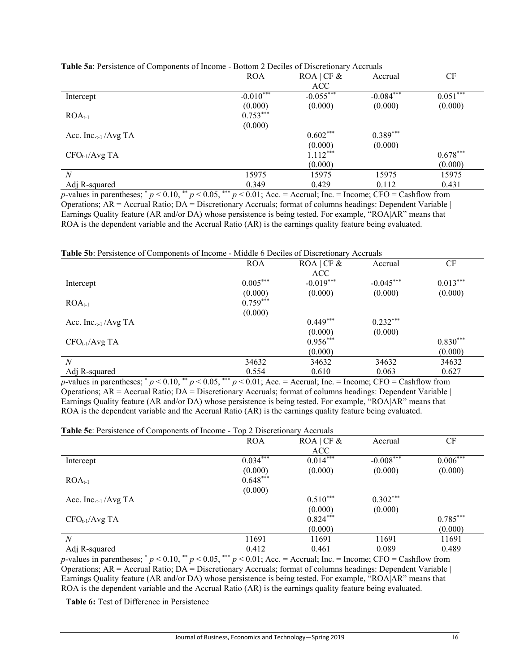|                                  | <b>ROA</b>  | $ROA$ CF &  | Accrual     | CF         |
|----------------------------------|-------------|-------------|-------------|------------|
|                                  |             | ACC         |             |            |
| Intercept                        | $-0.010***$ | $-0.055***$ | $-0.084***$ | $0.051***$ |
|                                  | (0.000)     | (0.000)     | (0.000)     | (0.000)    |
| $ROA_{t-1}$                      | $0.753***$  |             |             |            |
|                                  | (0.000)     |             |             |            |
| Acc. Inc. <sub>t-1</sub> /Avg TA |             | $0.602***$  | $0.389***$  |            |
|                                  |             | (0.000)     | (0.000)     |            |
| $CFO_{t-1}/AvgTA$                |             | $1.112***$  |             | $0.678***$ |
|                                  |             | (0.000)     |             | (0.000)    |
| N                                | 15975       | 15975       | 15975       | 15975      |
| Adj R-squared                    | 0.349       | 0.429       | 0.112       | 0.431      |
| .<br>$\sim$<br>$\sim$            |             |             |             |            |

| <b>Table 5a:</b> Persistence of Components of Income - Bottom 2 Deciles of Discretionary Accruals |
|---------------------------------------------------------------------------------------------------|
|---------------------------------------------------------------------------------------------------|

*p*-values in parentheses;  $p < 0.10$ ,  $p < 0.05$ ,  $p = 0.01$ ; Acc. = Accrual; Inc. = Income; CFO = Cashflow from Operations; AR = Accrual Ratio; DA = Discretionary Accruals; format of columns headings: Dependent Variable | Earnings Quality feature (AR and/or DA) whose persistence is being tested. For example, "ROA|AR" means that ROA is the dependent variable and the Accrual Ratio (AR) is the earnings quality feature being evaluated.

#### **Table 5b**: Persistence of Components of Income - Middle 6 Deciles of Discretionary Accruals

|                                  | <b>ROA</b> | $ROA$ CF &  | Accrual     | CF         |
|----------------------------------|------------|-------------|-------------|------------|
|                                  |            | <b>ACC</b>  |             |            |
| Intercept                        | $0.005***$ | $-0.019***$ | $-0.045***$ | $0.013***$ |
|                                  | (0.000)    | (0.000)     | (0.000)     | (0.000)    |
| $ROAt-1$                         | $0.759***$ |             |             |            |
|                                  | (0.000)    |             |             |            |
| Acc. Inc. <sub>t-1</sub> /Avg TA |            | $0.449***$  | $0.232***$  |            |
|                                  |            | (0.000)     | (0.000)     |            |
| $CFO_{t-1}/AvgTA$                |            | $0.956***$  |             | $0.830***$ |
|                                  |            | (0.000)     |             | (0.000)    |
| $\boldsymbol{N}$                 | 34632      | 34632       | 34632       | 34632      |
| Adj R-squared                    | 0.554      | 0.610       | 0.063       | 0.627      |

*p*-values in parentheses;  $p < 0.10$ ,  $p < 0.05$ ,  $p > 0.01$ ; Acc. = Accrual; Inc. = Income; CFO = Cashflow from Operations; AR = Accrual Ratio; DA = Discretionary Accruals; format of columns headings: Dependent Variable | Earnings Quality feature (AR and/or DA) whose persistence is being tested. For example, "ROA|AR" means that ROA is the dependent variable and the Accrual Ratio (AR) is the earnings quality feature being evaluated.

#### **Table 5c**: Persistence of Components of Income - Top 2 Discretionary Accruals

|                                  | <b>ROA</b> | $ROA$ CF & | Accrual     | CF         |
|----------------------------------|------------|------------|-------------|------------|
|                                  |            | ACC        |             |            |
| Intercept                        | $0.034***$ | $0.014***$ | $-0.008***$ | $0.006***$ |
|                                  | (0.000)    | (0.000)    | (0.000)     | (0.000)    |
| $ROAt-1$                         | $0.648***$ |            |             |            |
|                                  | (0.000)    |            |             |            |
| Acc. Inc. <sub>t-1</sub> /Avg TA |            | $0.510***$ | $0.302***$  |            |
|                                  |            | (0.000)    | (0.000)     |            |
| $CFO_{t-1}/AvgTA$                |            | $0.824***$ |             | $0.785***$ |
|                                  |            | (0.000)    |             | (0.000)    |
| N                                | 11691      | 11691      | 11691       | 11691      |
| Adj R-squared                    | 0.412      | 0.461      | 0.089       | 0.489      |

*p*-values in parentheses;  $p < 0.10$ ,  $p < 0.05$ ,  $p > 0.01$ ; Acc. = Accrual; Inc. = Income; CFO = Cashflow from Operations;  $AR = Accrual Ratio$ ;  $DA = Discretionary Accruals$ ; format of columns headings: Dependent Variable | Earnings Quality feature (AR and/or DA) whose persistence is being tested. For example, "ROA|AR" means that ROA is the dependent variable and the Accrual Ratio (AR) is the earnings quality feature being evaluated.

**Table 6:** Test of Difference in Persistence